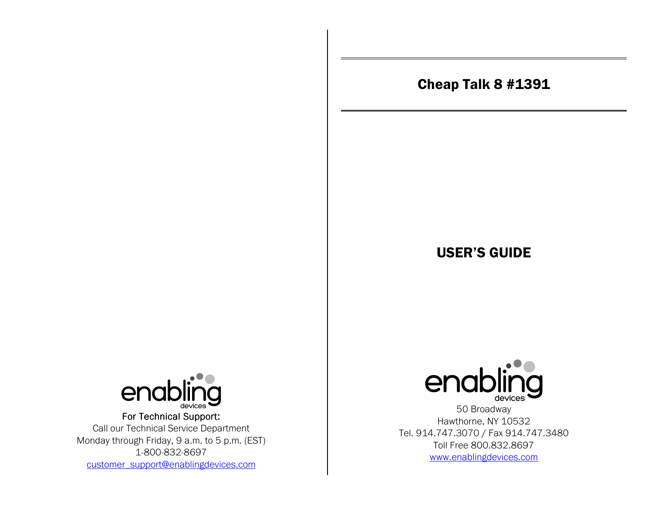# Cheap Talk 8 #1391

## USER'S GUIDE



For Technical Support: Call our Technical Service Department Monday through Friday, 9 a.m. to 5 p.m. (EST) 1-800-832-8697 customer\_support@enablingdevices.com



50 Broadway Hawthorne, NY 10532 Tel. 914.747.3070 / Fax 914.747.3480 Toll Free 800.832.8697 www.enablingdevices.com